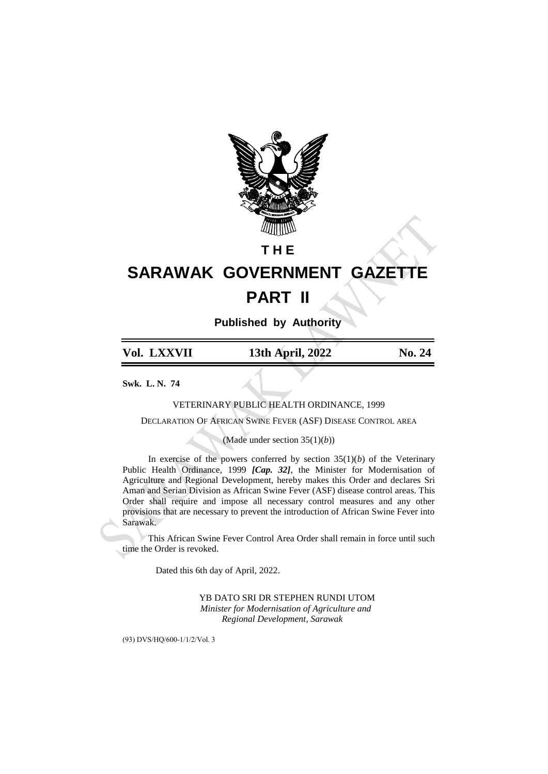

## **T H E**

# **SARAWAK GOVERNMENT GAZETTE PART II**

**Published by Authority**

| Vol. LXXVII | 13th April, 2022 | <b>No. 24</b> |
|-------------|------------------|---------------|
|             |                  |               |

**Swk. L. N. 74**

VETERINARY PUBLIC HEALTH ORDINANCE, 1999

DECLARATION OF AFRICAN SWINE FEVER (ASF) DISEASE CONTROL AREA

(Made under section 35(1)(*b*))

In exercise of the powers conferred by section  $35(1)(b)$  of the Veterinary Public Health Ordinance, 1999 *[Cap. 32]*, the Minister for Modernisation of Agriculture and Regional Development, hereby makes this Order and declares Sri Aman and Serian Division as African Swine Fever (ASF) disease control areas. This Order shall require and impose all necessary control measures and any other provisions that are necessary to prevent the introduction of African Swine Fever into Sarawak.

This African Swine Fever Control Area Order shall remain in force until such time the Order is revoked.

Dated this 6th day of April, 2022.

YB DATO SRI DR STEPHEN RUNDI UTOM  *Minister for Modernisation of Agriculture and Regional Development, Sarawak*

(93) DVS/HQ/600-1/1/2/Vol. 3